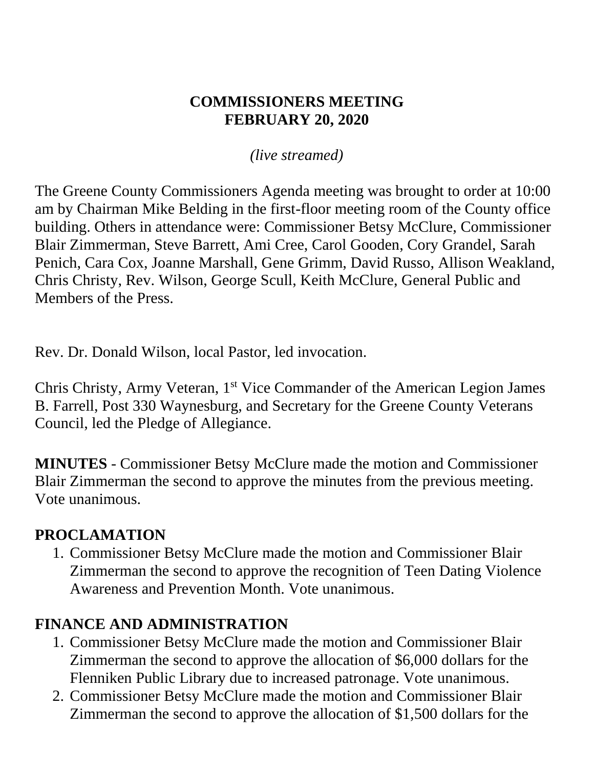#### **COMMISSIONERS MEETING FEBRUARY 20, 2020**

*(live streamed)*

The Greene County Commissioners Agenda meeting was brought to order at 10:00 am by Chairman Mike Belding in the first-floor meeting room of the County office building. Others in attendance were: Commissioner Betsy McClure, Commissioner Blair Zimmerman, Steve Barrett, Ami Cree, Carol Gooden, Cory Grandel, Sarah Penich, Cara Cox, Joanne Marshall, Gene Grimm, David Russo, Allison Weakland, Chris Christy, Rev. Wilson, George Scull, Keith McClure, General Public and Members of the Press.

Rev. Dr. Donald Wilson, local Pastor, led invocation.

Chris Christy, Army Veteran, 1 st Vice Commander of the American Legion James B. Farrell, Post 330 Waynesburg, and Secretary for the Greene County Veterans Council, led the Pledge of Allegiance.

**MINUTES** - Commissioner Betsy McClure made the motion and Commissioner Blair Zimmerman the second to approve the minutes from the previous meeting. Vote unanimous.

#### **PROCLAMATION**

1. Commissioner Betsy McClure made the motion and Commissioner Blair Zimmerman the second to approve the recognition of Teen Dating Violence Awareness and Prevention Month. Vote unanimous.

### **FINANCE AND ADMINISTRATION**

- 1. Commissioner Betsy McClure made the motion and Commissioner Blair Zimmerman the second to approve the allocation of \$6,000 dollars for the Flenniken Public Library due to increased patronage. Vote unanimous.
- 2. Commissioner Betsy McClure made the motion and Commissioner Blair Zimmerman the second to approve the allocation of \$1,500 dollars for the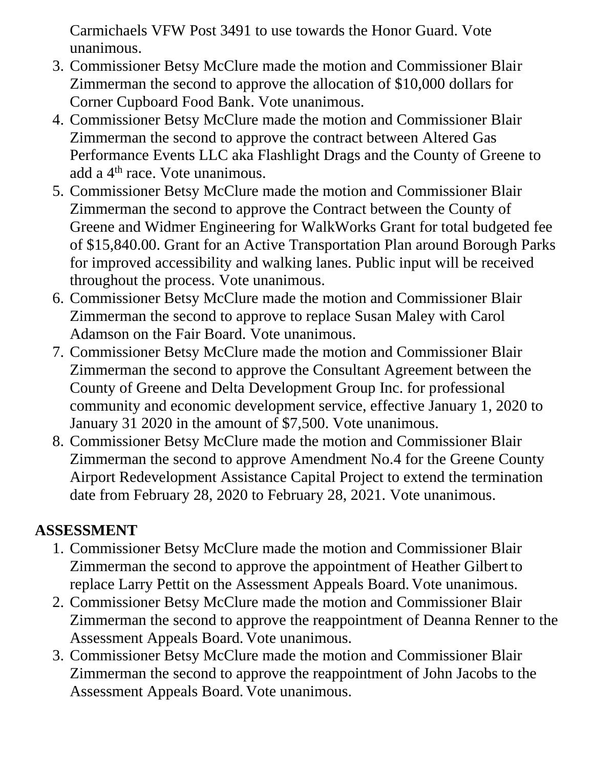Carmichaels VFW Post 3491 to use towards the Honor Guard. Vote unanimous.

- 3. Commissioner Betsy McClure made the motion and Commissioner Blair Zimmerman the second to approve the allocation of \$10,000 dollars for Corner Cupboard Food Bank. Vote unanimous.
- 4. Commissioner Betsy McClure made the motion and Commissioner Blair Zimmerman the second to approve the contract between Altered Gas Performance Events LLC aka Flashlight Drags and the County of Greene to add a 4<sup>th</sup> race. Vote unanimous.
- 5. Commissioner Betsy McClure made the motion and Commissioner Blair Zimmerman the second to approve the Contract between the County of Greene and Widmer Engineering for WalkWorks Grant for total budgeted fee of \$15,840.00. Grant for an Active Transportation Plan around Borough Parks for improved accessibility and walking lanes. Public input will be received throughout the process. Vote unanimous.
- 6. Commissioner Betsy McClure made the motion and Commissioner Blair Zimmerman the second to approve to replace Susan Maley with Carol Adamson on the Fair Board. Vote unanimous.
- 7. Commissioner Betsy McClure made the motion and Commissioner Blair Zimmerman the second to approve the Consultant Agreement between the County of Greene and Delta Development Group Inc. for professional community and economic development service, effective January 1, 2020 to January 31 2020 in the amount of \$7,500. Vote unanimous.
- 8. Commissioner Betsy McClure made the motion and Commissioner Blair Zimmerman the second to approve Amendment No.4 for the Greene County Airport Redevelopment Assistance Capital Project to extend the termination date from February 28, 2020 to February 28, 2021. Vote unanimous.

### **ASSESSMENT**

- 1. Commissioner Betsy McClure made the motion and Commissioner Blair Zimmerman the second to approve the appointment of Heather Gilbert to replace Larry Pettit on the Assessment Appeals Board. Vote unanimous.
- 2. Commissioner Betsy McClure made the motion and Commissioner Blair Zimmerman the second to approve the reappointment of Deanna Renner to the Assessment Appeals Board. Vote unanimous.
- 3. Commissioner Betsy McClure made the motion and Commissioner Blair Zimmerman the second to approve the reappointment of John Jacobs to the Assessment Appeals Board. Vote unanimous.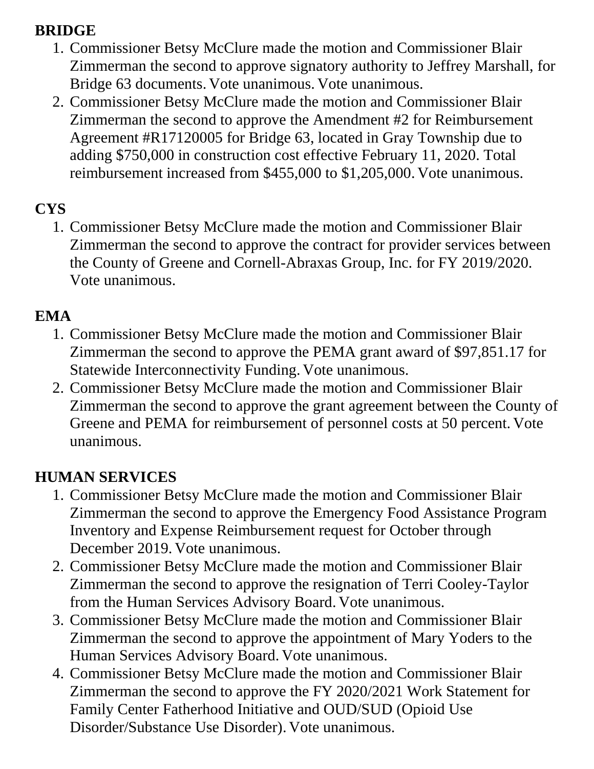#### **BRIDGE**

- 1. Commissioner Betsy McClure made the motion and Commissioner Blair Zimmerman the second to approve signatory authority to Jeffrey Marshall, for Bridge 63 documents. Vote unanimous. Vote unanimous.
- 2. Commissioner Betsy McClure made the motion and Commissioner Blair Zimmerman the second to approve the Amendment #2 for Reimbursement Agreement #R17120005 for Bridge 63, located in Gray Township due to adding \$750,000 in construction cost effective February 11, 2020. Total reimbursement increased from \$455,000 to \$1,205,000. Vote unanimous.

### **CYS**

1. Commissioner Betsy McClure made the motion and Commissioner Blair Zimmerman the second to approve the contract for provider services between the County of Greene and Cornell-Abraxas Group, Inc. for FY 2019/2020. Vote unanimous.

#### **EMA**

- 1. Commissioner Betsy McClure made the motion and Commissioner Blair Zimmerman the second to approve the PEMA grant award of \$97,851.17 for Statewide Interconnectivity Funding. Vote unanimous.
- 2. Commissioner Betsy McClure made the motion and Commissioner Blair Zimmerman the second to approve the grant agreement between the County of Greene and PEMA for reimbursement of personnel costs at 50 percent. Vote unanimous.

## **HUMAN SERVICES**

- 1. Commissioner Betsy McClure made the motion and Commissioner Blair Zimmerman the second to approve the Emergency Food Assistance Program Inventory and Expense Reimbursement request for October through December 2019. Vote unanimous.
- 2. Commissioner Betsy McClure made the motion and Commissioner Blair Zimmerman the second to approve the resignation of Terri Cooley-Taylor from the Human Services Advisory Board. Vote unanimous.
- 3. Commissioner Betsy McClure made the motion and Commissioner Blair Zimmerman the second to approve the appointment of Mary Yoders to the Human Services Advisory Board. Vote unanimous.
- 4. Commissioner Betsy McClure made the motion and Commissioner Blair Zimmerman the second to approve the FY 2020/2021 Work Statement for Family Center Fatherhood Initiative and OUD/SUD (Opioid Use Disorder/Substance Use Disorder). Vote unanimous.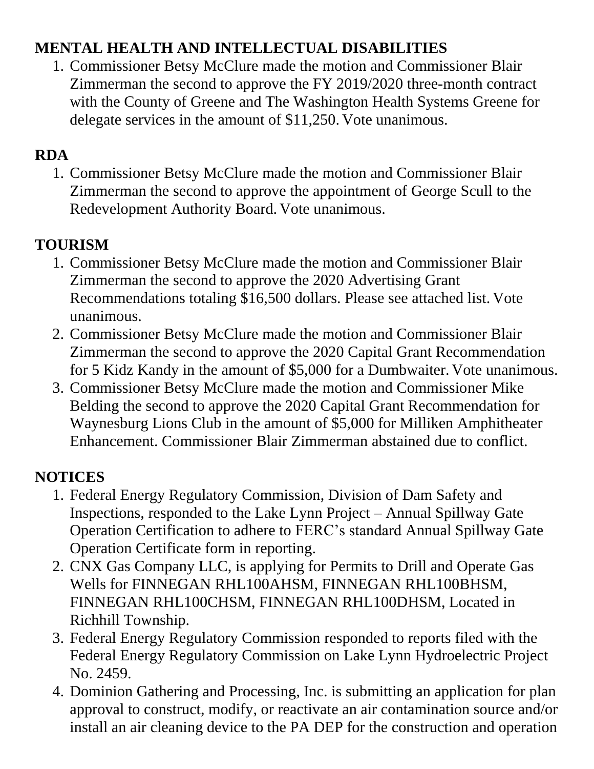## **MENTAL HEALTH AND INTELLECTUAL DISABILITIES**

1. Commissioner Betsy McClure made the motion and Commissioner Blair Zimmerman the second to approve the FY 2019/2020 three-month contract with the County of Greene and The Washington Health Systems Greene for delegate services in the amount of \$11,250. Vote unanimous.

#### **RDA**

1. Commissioner Betsy McClure made the motion and Commissioner Blair Zimmerman the second to approve the appointment of George Scull to the Redevelopment Authority Board. Vote unanimous.

## **TOURISM**

- 1. Commissioner Betsy McClure made the motion and Commissioner Blair Zimmerman the second to approve the 2020 Advertising Grant Recommendations totaling \$16,500 dollars. Please see attached list. Vote unanimous.
- 2. Commissioner Betsy McClure made the motion and Commissioner Blair Zimmerman the second to approve the 2020 Capital Grant Recommendation for 5 Kidz Kandy in the amount of \$5,000 for a Dumbwaiter. Vote unanimous.
- 3. Commissioner Betsy McClure made the motion and Commissioner Mike Belding the second to approve the 2020 Capital Grant Recommendation for Waynesburg Lions Club in the amount of \$5,000 for Milliken Amphitheater Enhancement. Commissioner Blair Zimmerman abstained due to conflict.

# **NOTICES**

- 1. Federal Energy Regulatory Commission, Division of Dam Safety and Inspections, responded to the Lake Lynn Project – Annual Spillway Gate Operation Certification to adhere to FERC's standard Annual Spillway Gate Operation Certificate form in reporting.
- 2. CNX Gas Company LLC, is applying for Permits to Drill and Operate Gas Wells for FINNEGAN RHL100AHSM, FINNEGAN RHL100BHSM, FINNEGAN RHL100CHSM, FINNEGAN RHL100DHSM, Located in Richhill Township.
- 3. Federal Energy Regulatory Commission responded to reports filed with the Federal Energy Regulatory Commission on Lake Lynn Hydroelectric Project No. 2459.
- 4. Dominion Gathering and Processing, Inc. is submitting an application for plan approval to construct, modify, or reactivate an air contamination source and/or install an air cleaning device to the PA DEP for the construction and operation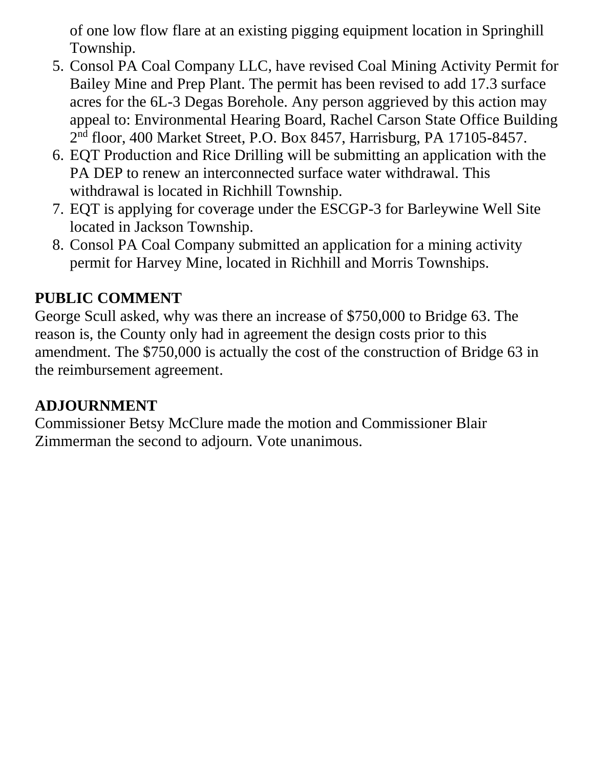of one low flow flare at an existing pigging equipment location in Springhill Township.

- 5. Consol PA Coal Company LLC, have revised Coal Mining Activity Permit for Bailey Mine and Prep Plant. The permit has been revised to add 17.3 surface acres for the 6L-3 Degas Borehole. Any person aggrieved by this action may appeal to: Environmental Hearing Board, Rachel Carson State Office Building 2 nd floor, 400 Market Street, P.O. Box 8457, Harrisburg, PA 17105-8457.
- 6. EQT Production and Rice Drilling will be submitting an application with the PA DEP to renew an interconnected surface water withdrawal. This withdrawal is located in Richhill Township.
- 7. EQT is applying for coverage under the ESCGP-3 for Barleywine Well Site located in Jackson Township.
- 8. Consol PA Coal Company submitted an application for a mining activity permit for Harvey Mine, located in Richhill and Morris Townships.

### **PUBLIC COMMENT**

George Scull asked, why was there an increase of \$750,000 to Bridge 63. The reason is, the County only had in agreement the design costs prior to this amendment. The \$750,000 is actually the cost of the construction of Bridge 63 in the reimbursement agreement.

#### **ADJOURNMENT**

Commissioner Betsy McClure made the motion and Commissioner Blair Zimmerman the second to adjourn. Vote unanimous.